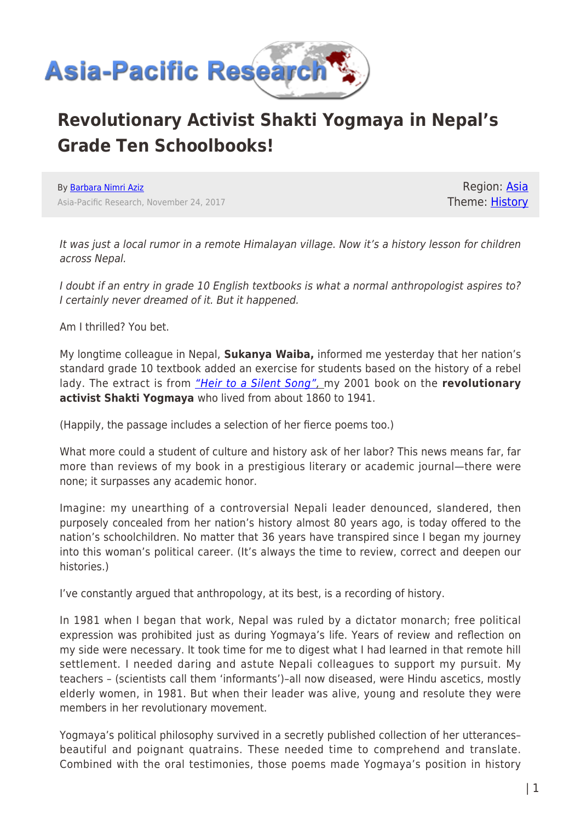

## **Revolutionary Activist Shakti Yogmaya in Nepal's Grade Ten Schoolbooks!**

By [Barbara Nimri Aziz](https://www.asia-pacificresearch.com/author/barbara-nimri-aziz) Asia-Pacific Research, November 24, 2017

Region: [Asia](https://www.asia-pacificresearch.com/region/asia-as) Theme: [History](https://www.asia-pacificresearch.com/theme/as-history)

It was just a local rumor in a remote Himalayan village. Now it's a history lesson for children across Nepal.

I doubt if an entry in grade 10 English textbooks is what a normal anthropologist aspires to? I certainly never dreamed of it. But it happened.

Am I thrilled? You bet.

My longtime colleague in Nepal, **Sukanya Waiba,** informed me yesterday that her nation's standard grade 10 textbook added an exercise for students based on the history of a rebel lady. The extract is from *["Heir to a Silent Song"](https://en.wikipedia.org/wiki/Yogmaya_Neupane)*, my 2001 book on the revolutionary **activist Shakti Yogmaya** who lived from about 1860 to 1941.

(Happily, the passage includes a selection of her fierce poems too.)

What more could a student of culture and history ask of her labor? This news means far, far more than reviews of my book in a prestigious literary or academic journal—there were none; it surpasses any academic honor.

Imagine: my unearthing of a controversial Nepali leader denounced, slandered, then purposely concealed from her nation's history almost 80 years ago, is today offered to the nation's schoolchildren. No matter that 36 years have transpired since I began my journey into this woman's political career. (It's always the time to review, correct and deepen our histories.)

I've constantly argued that anthropology, at its best, is a recording of history.

In 1981 when I began that work, Nepal was ruled by a dictator monarch; free political expression was prohibited just as during Yogmaya's life. Years of review and reflection on my side were necessary. It took time for me to digest what I had learned in that remote hill settlement. I needed daring and astute Nepali colleagues to support my pursuit. My teachers – (scientists call them 'informants')–all now diseased, were Hindu ascetics, mostly elderly women, in 1981. But when their leader was alive, young and resolute they were members in her revolutionary movement.

Yogmaya's political philosophy survived in a secretly published collection of her utterances– beautiful and poignant quatrains. These needed time to comprehend and translate. Combined with the oral testimonies, those poems made Yogmaya's position in history